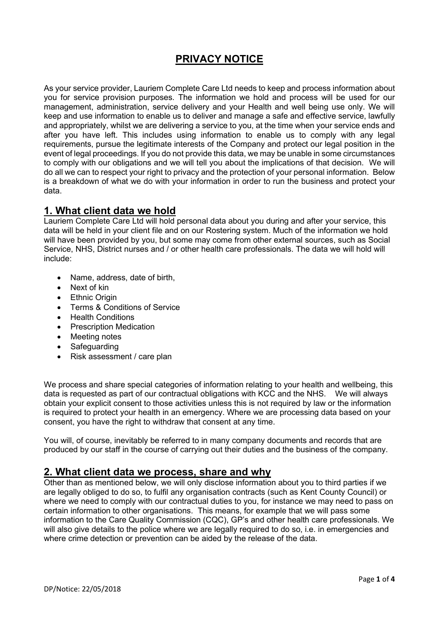# **PRIVACY NOTICE**

As your service provider, Lauriem Complete Care Ltd needs to keep and process information about you for service provision purposes. The information we hold and process will be used for our management, administration, service delivery and your Health and well being use only. We will keep and use information to enable us to deliver and manage a safe and effective service, lawfully and appropriately, whilst we are delivering a service to you, at the time when your service ends and after you have left. This includes using information to enable us to comply with any legal requirements, pursue the legitimate interests of the Company and protect our legal position in the event of legal proceedings. If you do not provide this data, we may be unable in some circumstances to comply with our obligations and we will tell you about the implications of that decision. We will do all we can to respect your right to privacy and the protection of your personal information. Below is a breakdown of what we do with your information in order to run the business and protect your data.

# **1. What client data we hold**

Lauriem Complete Care Ltd will hold personal data about you during and after your service, this data will be held in your client file and on our Rostering system. Much of the information we hold will have been provided by you, but some may come from other external sources, such as Social Service, NHS, District nurses and / or other health care professionals. The data we will hold will include:

- Name, address, date of birth,
- Next of kin
- **Ethnic Origin**
- Terms & Conditions of Service
- Health Conditions
- Prescription Medication
- Meeting notes
- **Safeguarding**
- Risk assessment / care plan

We process and share special categories of information relating to your health and wellbeing, this data is requested as part of our contractual obligations with KCC and the NHS. We will always obtain your explicit consent to those activities unless this is not required by law or the information is required to protect your health in an emergency. Where we are processing data based on your consent, you have the right to withdraw that consent at any time.

You will, of course, inevitably be referred to in many company documents and records that are produced by our staff in the course of carrying out their duties and the business of the company.

#### **2. What client data we process, share and why**

Other than as mentioned below, we will only disclose information about you to third parties if we are legally obliged to do so, to fulfil any organisation contracts (such as Kent County Council) or where we need to comply with our contractual duties to you, for instance we may need to pass on certain information to other organisations. This means, for example that we will pass some information to the Care Quality Commission (CQC), GP's and other health care professionals. We will also give details to the police where we are legally required to do so, i.e. in emergencies and where crime detection or prevention can be aided by the release of the data.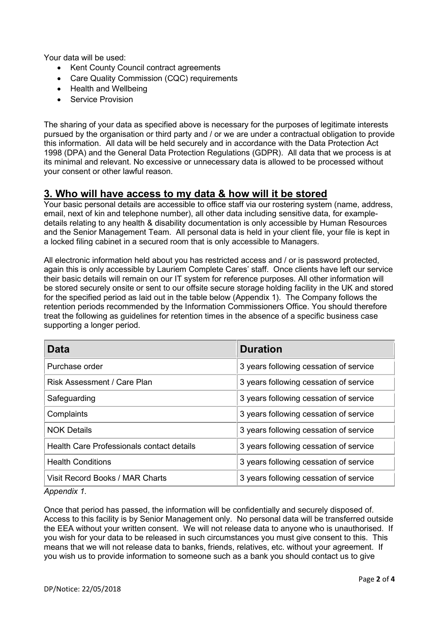Your data will be used:

- Kent County Council contract agreements
- Care Quality Commission (CQC) requirements
- Health and Wellbeing
- Service Provision

The sharing of your data as specified above is necessary for the purposes of legitimate interests pursued by the organisation or third party and / or we are under a contractual obligation to provide this information. All data will be held securely and in accordance with the Data Protection Act 1998 (DPA) and the General Data Protection Regulations (GDPR). All data that we process is at its minimal and relevant. No excessive or unnecessary data is allowed to be processed without your consent or other lawful reason.

## **3. Who will have access to my data & how will it be stored**

Your basic personal details are accessible to office staff via our rostering system (name, address, email, next of kin and telephone number), all other data including sensitive data, for exampledetails relating to any health & disability documentation is only accessible by Human Resources and the Senior Management Team. All personal data is held in your client file, your file is kept in a locked filing cabinet in a secured room that is only accessible to Managers.

All electronic information held about you has restricted access and / or is password protected, again this is only accessible by Lauriem Complete Cares' staff. Once clients have left our service their basic details will remain on our IT system for reference purposes. All other information will be stored securely onsite or sent to our offsite secure storage holding facility in the UK and stored for the specified period as laid out in the table below (Appendix 1). The Company follows the retention periods recommended by the Information Commissioners Office. You should therefore treat the following as guidelines for retention times in the absence of a specific business case supporting a longer period.

| Data                                      | <b>Duration</b>                        |
|-------------------------------------------|----------------------------------------|
| Purchase order                            | 3 years following cessation of service |
| <b>Risk Assessment / Care Plan</b>        | 3 years following cessation of service |
| Safeguarding                              | 3 years following cessation of service |
| Complaints                                | 3 years following cessation of service |
| <b>NOK Details</b>                        | 3 years following cessation of service |
| Health Care Professionals contact details | 3 years following cessation of service |
| <b>Health Conditions</b>                  | 3 years following cessation of service |
| Visit Record Books / MAR Charts           | 3 years following cessation of service |

*Appendix 1.*

Once that period has passed, the information will be confidentially and securely disposed of. Access to this facility is by Senior Management only. No personal data will be transferred outside the EEA without your written consent. We will not release data to anyone who is unauthorised. If you wish for your data to be released in such circumstances you must give consent to this. This means that we will not release data to banks, friends, relatives, etc. without your agreement. If you wish us to provide information to someone such as a bank you should contact us to give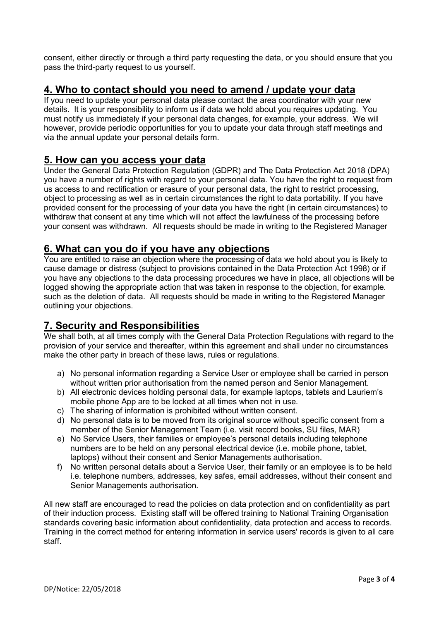consent, either directly or through a third party requesting the data, or you should ensure that you pass the third-party request to us yourself.

# **4. Who to contact should you need to amend / update your data**

If you need to update your personal data please contact the area coordinator with your new details. It is your responsibility to inform us if data we hold about you requires updating. You must notify us immediately if your personal data changes, for example, your address. We will however, provide periodic opportunities for you to update your data through staff meetings and via the annual update your personal details form.

## **5. How can you access your data**

Under the General Data Protection Regulation (GDPR) and The Data Protection Act 2018 (DPA) you have a number of rights with regard to your personal data. You have the right to request from us access to and rectification or erasure of your personal data, the right to restrict processing, object to processing as well as in certain circumstances the right to data portability. If you have provided consent for the processing of your data you have the right (in certain circumstances) to withdraw that consent at any time which will not affect the lawfulness of the processing before your consent was withdrawn. All requests should be made in writing to the Registered Manager

## **6. What can you do if you have any objections**

You are entitled to raise an objection where the processing of data we hold about you is likely to cause damage or distress (subject to provisions contained in the Data Protection Act 1998) or if you have any objections to the data processing procedures we have in place, all objections will be logged showing the appropriate action that was taken in response to the objection, for example. such as the deletion of data. All requests should be made in writing to the Registered Manager outlining your objections.

# **7. Security and Responsibilities**

We shall both, at all times comply with the General Data Protection Regulations with regard to the provision of your service and thereafter, within this agreement and shall under no circumstances make the other party in breach of these laws, rules or regulations.

- a) No personal information regarding a Service User or employee shall be carried in person without written prior authorisation from the named person and Senior Management.
- b) All electronic devices holding personal data, for example laptops, tablets and Lauriem's mobile phone App are to be locked at all times when not in use.
- c) The sharing of information is prohibited without written consent.
- d) No personal data is to be moved from its original source without specific consent from a member of the Senior Management Team (i.e. visit record books, SU files, MAR)
- e) No Service Users, their families or employee's personal details including telephone numbers are to be held on any personal electrical device (i.e. mobile phone, tablet, laptops) without their consent and Senior Managements authorisation.
- f) No written personal details about a Service User, their family or an employee is to be held i.e. telephone numbers, addresses, key safes, email addresses, without their consent and Senior Managements authorisation.

All new staff are encouraged to read the policies on data protection and on confidentiality as part of their induction process. Existing staff will be offered training to National Training Organisation standards covering basic information about confidentiality, data protection and access to records. Training in the correct method for entering information in service users' records is given to all care staff.